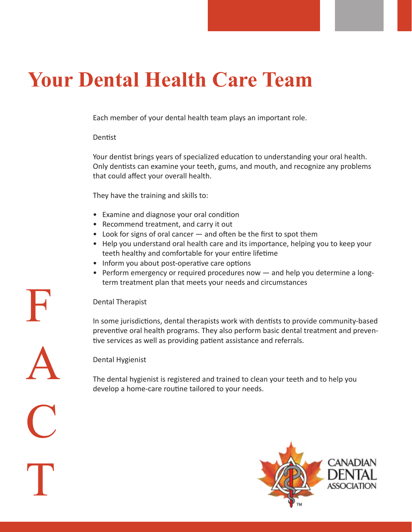## **Your Dental Health Care Team**

Each member of your dental health team plays an important role.

## Dentist

Your dentist brings years of specialized education to understanding your oral health. Only dentists can examine your teeth, gums, and mouth, and recognize any problems that could affect your overall health.

They have the training and skills to:

- Examine and diagnose your oral condition
- Recommend treatment, and carry it out
- Look for signs of oral cancer and often be the first to spot them
- Help you understand oral health care and its importance, helping you to keep your teeth healthy and comfortable for your entire lifetime
- Inform you about post-operative care options
- Perform emergency or required procedures now and help you determine a long term treatment plan that meets your needs and circumstances

## Dental Therapist

In some jurisdictions, dental therapists work with dentists to provide community-based preventive oral health programs. They also perform basic dental treatment and preventive services as well as providing patient assistance and referrals.

Dental Hygienist

The dental hygienist is registered and trained to clean your teeth and to help you develop a home-care routine tailored to your needs.



F A C T